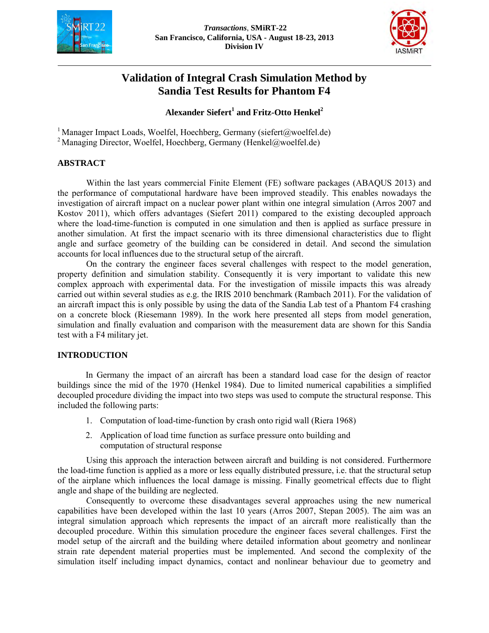



# **Validation of Integral Crash Simulation Method by Sandia Test Results for Phantom F4**

# **Alexander Siefert<sup>1</sup> and Fritz-Otto Henkel<sup>2</sup>**

<sup>1</sup> Manager Impact Loads, Woelfel, Hoechberg, Germany (siefert@woelfel.de) <sup>2</sup> Managing Director, Woelfel, Hoechberg, Germany (Henkel@woelfel.de)

## **ABSTRACT**

Within the last years commercial Finite Element (FE) software packages (ABAQUS 2013) and the performance of computational hardware have been improved steadily. This enables nowadays the investigation of aircraft impact on a nuclear power plant within one integral simulation (Arros 2007 and Kostov 2011), which offers advantages (Siefert 2011) compared to the existing decoupled approach where the load-time-function is computed in one simulation and then is applied as surface pressure in another simulation. At first the impact scenario with its three dimensional characteristics due to flight angle and surface geometry of the building can be considered in detail. And second the simulation accounts for local influences due to the structural setup of the aircraft.

On the contrary the engineer faces several challenges with respect to the model generation, property definition and simulation stability. Consequently it is very important to validate this new complex approach with experimental data. For the investigation of missile impacts this was already carried out within several studies as e.g. the IRIS 2010 benchmark (Rambach 2011). For the validation of an aircraft impact this is only possible by using the data of the Sandia Lab test of a Phantom F4 crashing on a concrete block (Riesemann 1989). In the work here presented all steps from model generation, simulation and finally evaluation and comparison with the measurement data are shown for this Sandia test with a F4 military jet.

## **INTRODUCTION**

In Germany the impact of an aircraft has been a standard load case for the design of reactor buildings since the mid of the 1970 (Henkel 1984). Due to limited numerical capabilities a simplified decoupled procedure dividing the impact into two steps was used to compute the structural response. This included the following parts:

- 1. Computation of load-time-function by crash onto rigid wall (Riera 1968)
- 2. Application of load time function as surface pressure onto building and computation of structural response

Using this approach the interaction between aircraft and building is not considered. Furthermore the load-time function is applied as a more or less equally distributed pressure, i.e. that the structural setup of the airplane which influences the local damage is missing. Finally geometrical effects due to flight angle and shape of the building are neglected.

Consequently to overcome these disadvantages several approaches using the new numerical capabilities have been developed within the last 10 years (Arros 2007, Stepan 2005). The aim was an integral simulation approach which represents the impact of an aircraft more realistically than the decoupled procedure. Within this simulation procedure the engineer faces several challenges. First the model setup of the aircraft and the building where detailed information about geometry and nonlinear strain rate dependent material properties must be implemented. And second the complexity of the simulation itself including impact dynamics, contact and nonlinear behaviour due to geometry and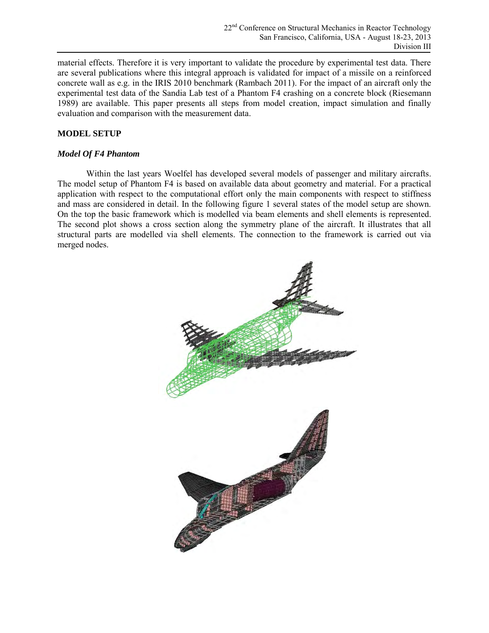material effects. Therefore it is very important to validate the procedure by experimental test data. There are several publications where this integral approach is validated for impact of a missile on a reinforced concrete wall as e.g. in the IRIS 2010 benchmark (Rambach 2011). For the impact of an aircraft only the experimental test data of the Sandia Lab test of a Phantom F4 crashing on a concrete block (Riesemann 1989) are available. This paper presents all steps from model creation, impact simulation and finally evaluation and comparison with the measurement data.

# **MODEL SETUP**

# *Model Of F4 Phantom*

Within the last years Woelfel has developed several models of passenger and military aircrafts. The model setup of Phantom F4 is based on available data about geometry and material. For a practical application with respect to the computational effort only the main components with respect to stiffness and mass are considered in detail. In the following figure 1 several states of the model setup are shown. On the top the basic framework which is modelled via beam elements and shell elements is represented. The second plot shows a cross section along the symmetry plane of the aircraft. It illustrates that all structural parts are modelled via shell elements. The connection to the framework is carried out via merged nodes.

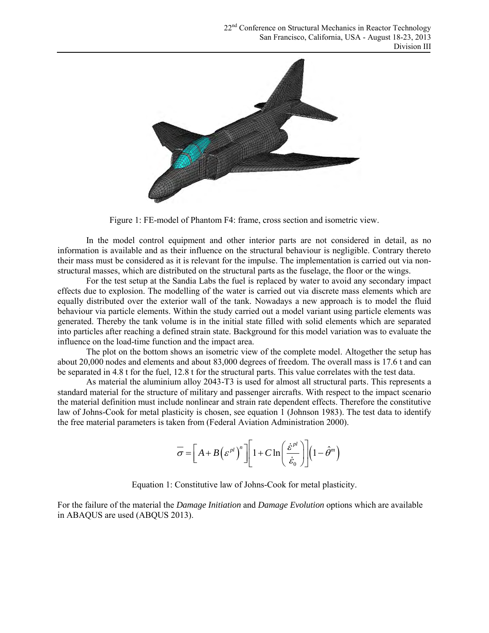

Figure 1: FE-model of Phantom F4: frame, cross section and isometric view.

In the model control equipment and other interior parts are not considered in detail, as no information is available and as their influence on the structural behaviour is negligible. Contrary thereto their mass must be considered as it is relevant for the impulse. The implementation is carried out via nonstructural masses, which are distributed on the structural parts as the fuselage, the floor or the wings.

For the test setup at the Sandia Labs the fuel is replaced by water to avoid any secondary impact effects due to explosion. The modelling of the water is carried out via discrete mass elements which are equally distributed over the exterior wall of the tank. Nowadays a new approach is to model the fluid behaviour via particle elements. Within the study carried out a model variant using particle elements was generated. Thereby the tank volume is in the initial state filled with solid elements which are separated into particles after reaching a defined strain state. Background for this model variation was to evaluate the influence on the load-time function and the impact area.

The plot on the bottom shows an isometric view of the complete model. Altogether the setup has about 20,000 nodes and elements and about 83,000 degrees of freedom. The overall mass is 17.6 t and can be separated in 4.8 t for the fuel, 12.8 t for the structural parts. This value correlates with the test data.

As material the aluminium alloy 2043-T3 is used for almost all structural parts. This represents a standard material for the structure of military and passenger aircrafts. With respect to the impact scenario the material definition must include nonlinear and strain rate dependent effects. Therefore the constitutive law of Johns-Cook for metal plasticity is chosen, see equation 1 (Johnson 1983). The test data to identify

the free material parameters is taken from (Federal Aviation Administration 2000).  
\n
$$
\overline{\sigma} = \left[ A + B \left( \varepsilon^{pl} \right)^n \right] \left[ 1 + C \ln \left( \frac{\dot{\varepsilon}^{pl}}{\dot{\varepsilon}_0} \right) \right] \left( 1 - \hat{\theta}^m \right)
$$

Equation 1: Constitutive law of Johns-Cook for metal plasticity.

For the failure of the material the *Damage Initiation* and *Damage Evolution* options which are available in ABAQUS are used (ABQUS 2013).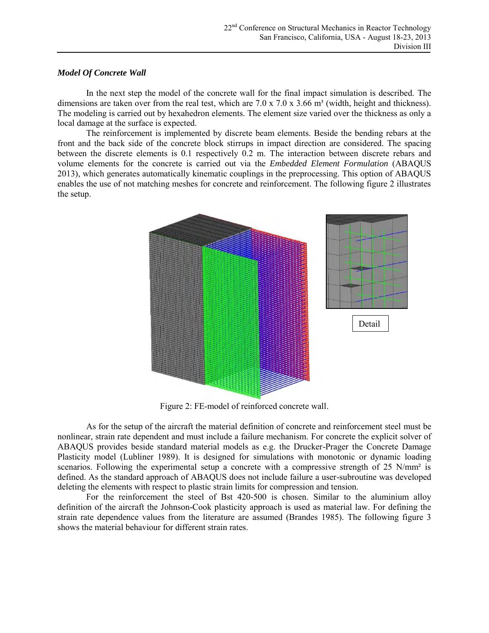## *Model Of Concrete Wall*

In the next step the model of the concrete wall for the final impact simulation is described. The dimensions are taken over from the real test, which are  $7.0 \times 7.0 \times 3.66$  m<sup>3</sup> (width, height and thickness). The modeling is carried out by hexahedron elements. The element size varied over the thickness as only a local damage at the surface is expected.

The reinforcement is implemented by discrete beam elements. Beside the bending rebars at the front and the back side of the concrete block stirrups in impact direction are considered. The spacing between the discrete elements is 0.1 respectively 0.2 m. The interaction between discrete rebars and volume elements for the concrete is carried out via the *Embedded Element Formulation* (ABAQUS 2013), which generates automatically kinematic couplings in the preprocessing. This option of ABAQUS enables the use of not matching meshes for concrete and reinforcement. The following figure 2 illustrates the setup.



Figure 2: FE-model of reinforced concrete wall.

As for the setup of the aircraft the material definition of concrete and reinforcement steel must be nonlinear, strain rate dependent and must include a failure mechanism. For concrete the explicit solver of ABAQUS provides beside standard material models as e.g. the Drucker-Prager the Concrete Damage Plasticity model (Lubliner 1989). It is designed for simulations with monotonic or dynamic loading scenarios. Following the experimental setup a concrete with a compressive strength of 25 N/mm<sup>2</sup> is defined. As the standard approach of ABAQUS does not include failure a user-subroutine was developed deleting the elements with respect to plastic strain limits for compression and tension.

For the reinforcement the steel of Bst 420-500 is chosen. Similar to the aluminium alloy definition of the aircraft the Johnson-Cook plasticity approach is used as material law. For defining the strain rate dependence values from the literature are assumed (Brandes 1985). The following figure 3 shows the material behaviour for different strain rates.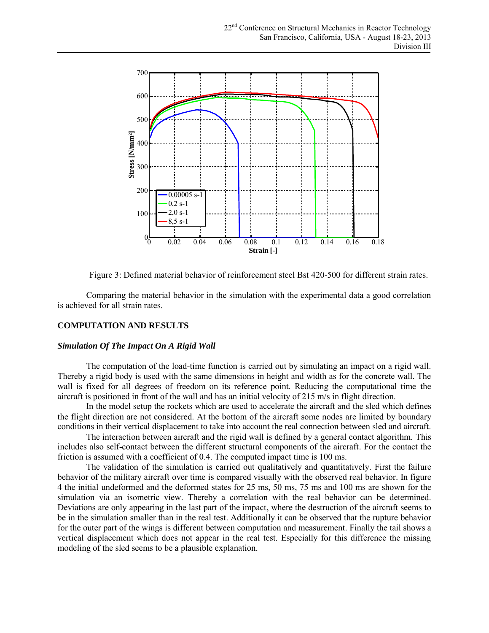

Figure 3: Defined material behavior of reinforcement steel Bst 420-500 for different strain rates.

Comparing the material behavior in the simulation with the experimental data a good correlation is achieved for all strain rates.

# **COMPUTATION AND RESULTS**

#### *Simulation Of The Impact On A Rigid Wall*

The computation of the load-time function is carried out by simulating an impact on a rigid wall. Thereby a rigid body is used with the same dimensions in height and width as for the concrete wall. The wall is fixed for all degrees of freedom on its reference point. Reducing the computational time the aircraft is positioned in front of the wall and has an initial velocity of 215 m/s in flight direction.

In the model setup the rockets which are used to accelerate the aircraft and the sled which defines the flight direction are not considered. At the bottom of the aircraft some nodes are limited by boundary conditions in their vertical displacement to take into account the real connection between sled and aircraft.

The interaction between aircraft and the rigid wall is defined by a general contact algorithm. This includes also self-contact between the different structural components of the aircraft. For the contact the friction is assumed with a coefficient of 0.4. The computed impact time is 100 ms.

The validation of the simulation is carried out qualitatively and quantitatively. First the failure behavior of the military aircraft over time is compared visually with the observed real behavior. In figure 4 the initial undeformed and the deformed states for 25 ms, 50 ms, 75 ms and 100 ms are shown for the simulation via an isometric view. Thereby a correlation with the real behavior can be determined. Deviations are only appearing in the last part of the impact, where the destruction of the aircraft seems to be in the simulation smaller than in the real test. Additionally it can be observed that the rupture behavior for the outer part of the wings is different between computation and measurement. Finally the tail shows a vertical displacement which does not appear in the real test. Especially for this difference the missing modeling of the sled seems to be a plausible explanation.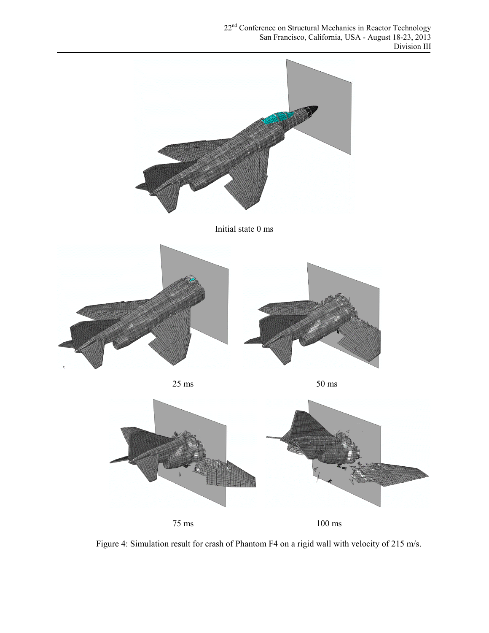

Initial state 0 ms



 $25 \text{ ms}$  50 ms



Figure 4: Simulation result for crash of Phantom F4 on a rigid wall with velocity of 215 m/s.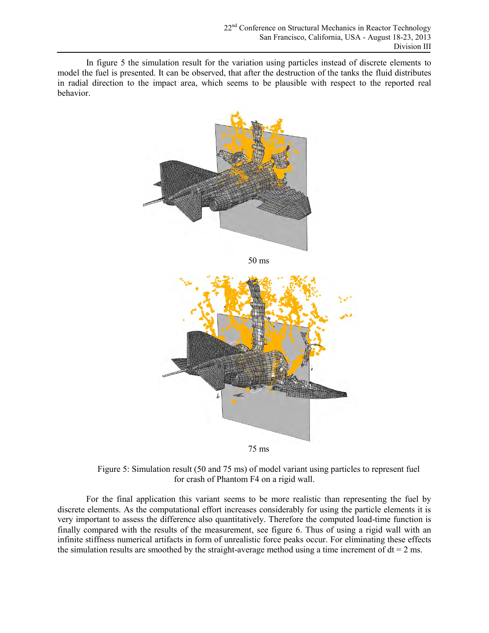In figure 5 the simulation result for the variation using particles instead of discrete elements to model the fuel is presented. It can be observed, that after the destruction of the tanks the fluid distributes in radial direction to the impact area, which seems to be plausible with respect to the reported real behavior.





Figure 5: Simulation result (50 and 75 ms) of model variant using particles to represent fuel for crash of Phantom F4 on a rigid wall.

For the final application this variant seems to be more realistic than representing the fuel by discrete elements. As the computational effort increases considerably for using the particle elements it is very important to assess the difference also quantitatively. Therefore the computed load-time function is finally compared with the results of the measurement, see figure 6. Thus of using a rigid wall with an infinite stiffness numerical artifacts in form of unrealistic force peaks occur. For eliminating these effects the simulation results are smoothed by the straight-average method using a time increment of  $dt = 2$  ms.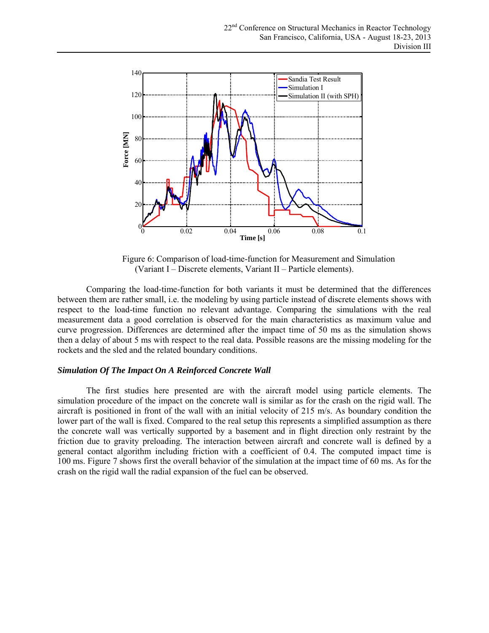

Figure 6: Comparison of load-time-function for Measurement and Simulation (Variant I – Discrete elements, Variant II – Particle elements).

Comparing the load-time-function for both variants it must be determined that the differences between them are rather small, i.e. the modeling by using particle instead of discrete elements shows with respect to the load-time function no relevant advantage. Comparing the simulations with the real measurement data a good correlation is observed for the main characteristics as maximum value and curve progression. Differences are determined after the impact time of 50 ms as the simulation shows then a delay of about 5 ms with respect to the real data. Possible reasons are the missing modeling for the rockets and the sled and the related boundary conditions.

#### *Simulation Of The Impact On A Reinforced Concrete Wall*

The first studies here presented are with the aircraft model using particle elements. The simulation procedure of the impact on the concrete wall is similar as for the crash on the rigid wall. The aircraft is positioned in front of the wall with an initial velocity of 215 m/s. As boundary condition the lower part of the wall is fixed. Compared to the real setup this represents a simplified assumption as there the concrete wall was vertically supported by a basement and in flight direction only restraint by the friction due to gravity preloading. The interaction between aircraft and concrete wall is defined by a general contact algorithm including friction with a coefficient of 0.4. The computed impact time is 100 ms. Figure 7 shows first the overall behavior of the simulation at the impact time of 60 ms. As for the crash on the rigid wall the radial expansion of the fuel can be observed.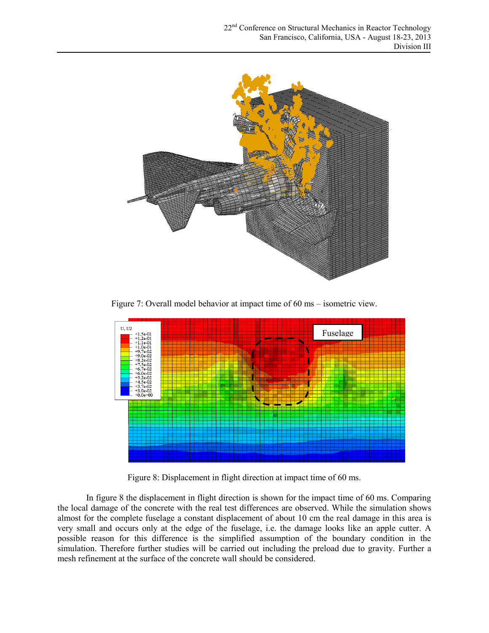

Figure 7: Overall model behavior at impact time of 60 ms – isometric view.



Figure 8: Displacement in flight direction at impact time of 60 ms.

In figure 8 the displacement in flight direction is shown for the impact time of 60 ms. Comparing the local damage of the concrete with the real test differences are observed. While the simulation shows almost for the complete fuselage a constant displacement of about 10 cm the real damage in this area is very small and occurs only at the edge of the fuselage, i.e. the damage looks like an apple cutter. A possible reason for this difference is the simplified assumption of the boundary condition in the simulation. Therefore further studies will be carried out including the preload due to gravity. Further a mesh refinement at the surface of the concrete wall should be considered.